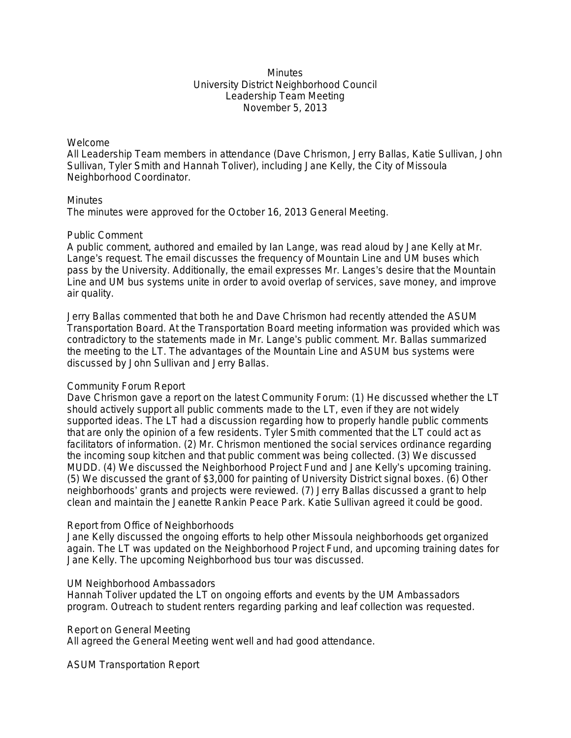### **Minutes** University District Neighborhood Council Leadership Team Meeting November 5, 2013

### Welcome

All Leadership Team members in attendance (Dave Chrismon, Jerry Ballas, Katie Sullivan, John Sullivan, Tyler Smith and Hannah Toliver), including Jane Kelly, the City of Missoula Neighborhood Coordinator.

## **Minutes**

The minutes were approved for the October 16, 2013 General Meeting.

#### Public Comment

A public comment, authored and emailed by Ian Lange, was read aloud by Jane Kelly at Mr. Lange's request. The email discusses the frequency of Mountain Line and UM buses which pass by the University. Additionally, the email expresses Mr. Langes's desire that the Mountain Line and UM bus systems unite in order to avoid overlap of services, save money, and improve air quality.

Jerry Ballas commented that both he and Dave Chrismon had recently attended the ASUM Transportation Board. At the Transportation Board meeting information was provided which was contradictory to the statements made in Mr. Lange's public comment. Mr. Ballas summarized the meeting to the LT. The advantages of the Mountain Line and ASUM bus systems were discussed by John Sullivan and Jerry Ballas.

# Community Forum Report

Dave Chrismon gave a report on the latest Community Forum: (1) He discussed whether the LT should actively support all public comments made to the LT, even if they are not widely supported ideas. The LT had a discussion regarding how to properly handle public comments that are only the opinion of a few residents. Tyler Smith commented that the LT could act as facilitators of information. (2) Mr. Chrismon mentioned the social services ordinance regarding the incoming soup kitchen and that public comment was being collected. (3) We discussed MUDD. (4) We discussed the Neighborhood Project Fund and Jane Kelly's upcoming training. (5) We discussed the grant of \$3,000 for painting of University District signal boxes. (6) Other neighborhoods' grants and projects were reviewed. (7) Jerry Ballas discussed a grant to help clean and maintain the Jeanette Rankin Peace Park. Katie Sullivan agreed it could be good.

# Report from Office of Neighborhoods

Jane Kelly discussed the ongoing efforts to help other Missoula neighborhoods get organized again. The LT was updated on the Neighborhood Project Fund, and upcoming training dates for Jane Kelly. The upcoming Neighborhood bus tour was discussed.

#### UM Neighborhood Ambassadors

Hannah Toliver updated the LT on ongoing efforts and events by the UM Ambassadors program. Outreach to student renters regarding parking and leaf collection was requested.

#### Report on General Meeting

All agreed the General Meeting went well and had good attendance.

ASUM Transportation Report